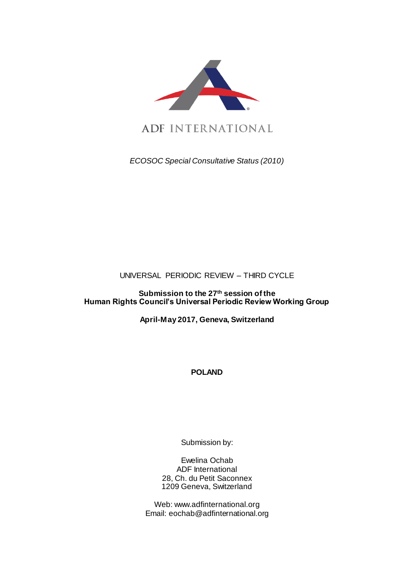

ADF INTERNATIONAL

*ECOSOC Special Consultative Status (2010)*

# UNIVERSAL PERIODIC REVIEW – THIRD CYCLE

# **Submission to the 27th session of the Human Rights Council's Universal Periodic Review Working Group**

**April-May 2017, Geneva, Switzerland**

**POLAND**

Submission by:

Ewelina Ochab ADF International 28, Ch. du Petit Saconnex 1209 Geneva, Switzerland

Web: www.adfinternational.org Email: eochab@adfinternational.org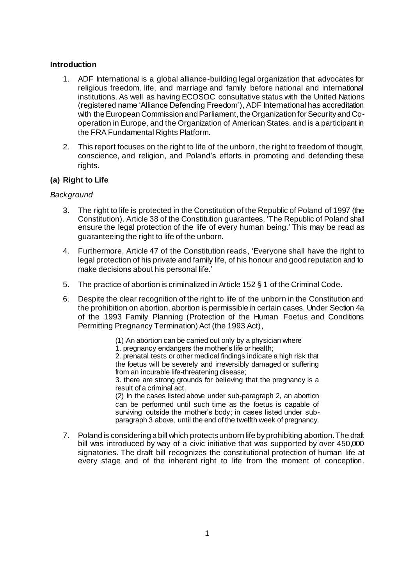## **Introduction**

- 1. ADF International is a global alliance-building legal organization that advocates for religious freedom, life, and marriage and family before national and international institutions. As well as having ECOSOC consultative status with the United Nations (registered name 'Alliance Defending Freedom'), ADF International has accreditation with the European Commission and Parliament, the Organization for Security and Cooperation in Europe, and the Organization of American States, and is a participant in the FRA Fundamental Rights Platform.
- 2. This report focuses on the right to life of the unborn, the right to freedom of thought, conscience, and religion, and Poland's efforts in promoting and defending these rights.

# **(a) Right to Life**

## *Background*

- 3. The right to life is protected in the Constitution of the Republic of Poland of 1997 (the Constitution). Article 38 of the Constitution guarantees, 'The Republic of Poland shall ensure the legal protection of the life of every human being.' This may be read as guaranteeing the right to life of the unborn.
- 4. Furthermore, Article 47 of the Constitution reads, 'Everyone shall have the right to legal protection of his private and family life, of his honour and good reputation and to make decisions about his personal life.'
- 5. The practice of abortion is criminalized in Article 152 § 1 of the Criminal Code.
- 6. Despite the clear recognition of the right to life of the unborn in the Constitution and the prohibition on abortion, abortion is permissible in certain cases. Under Section 4a of the 1993 Family Planning (Protection of the Human Foetus and Conditions Permitting Pregnancy Termination) Act (the 1993 Act),

(1) An abortion can be carried out only by a physician where 1. pregnancy endangers the mother's life or health; 2. prenatal tests or other medical findings indicate a high risk that the foetus will be severely and irreversibly damaged or suffering from an incurable life-threatening disease; 3. there are strong grounds for believing that the pregnancy is a result of a criminal act. (2) In the cases listed above under sub-paragraph 2, an abortion can be performed until such time as the foetus is capable of surviving outside the mother's body; in cases listed under sub-

paragraph 3 above, until the end of the twelfth week of pregnancy. 7. Poland is considering a bill which protects unborn life by prohibiting abortion. The draft bill was introduced by way of a civic initiative that was supported by over 450,000 signatories. The draft bill recognizes the constitutional protection of human life at every stage and of the inherent right to life from the moment of conception.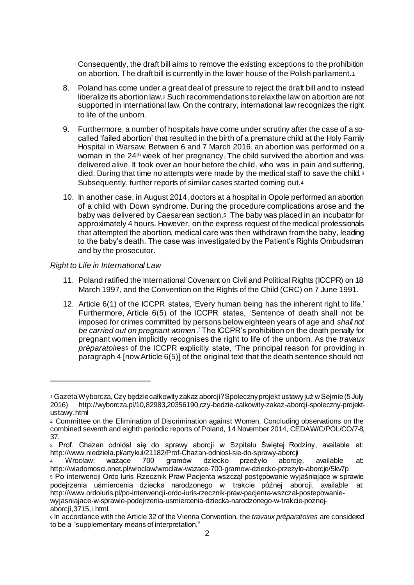Consequently, the draft bill aims to remove the existing exceptions to the prohibition on abortion. The draft bill is currently in the lower house of the Polish parliament.<sup>1</sup>

- 8. Poland has come under a great deal of pressure to reject the draft bill and to instead liberalize its abortion law.<sup>2</sup> Such recommendations to relax the law on abortion are not supported in international law. On the contrary, international law recognizes the right to life of the unborn.
- 9. Furthermore, a number of hospitals have come under scrutiny after the case of a socalled 'failed abortion' that resulted in the birth of a premature child at the Holy Family Hospital in Warsaw. Between 6 and 7 March 2016, an abortion was performed on a woman in the 24th week of her pregnancy. The child survived the abortion and was delivered alive. It took over an hour before the child, who was in pain and suffering, died. During that time no attempts were made by the medical staff to save the child.<sup>3</sup> Subsequently, further reports of similar cases started coming out.<sup>4</sup>
- 10. In another case, in August 2014, doctors at a hospital in Opole performed an abortion of a child with Down syndrome. During the procedure complications arose and the baby was delivered by Caesarean section.5 The baby was placed in an incubator for approximately 4 hours. However, on the express request of the medical professionals that attempted the abortion, medical care was then withdrawn from the baby, leading to the baby's death. The case was investigated by the Patient's Rights Ombudsman and by the prosecutor.

## *Right to Life in International Law*

l

- 11. Poland ratified the International Covenant on Civil and Political Rights (ICCPR) on 18 March 1997, and the Convention on the Rights of the Child (CRC) on 7 June 1991.
- 12. Article 6(1) of the ICCPR states, 'Every human being has the inherent right to life.' Furthermore, Article 6(5) of the ICCPR states, 'Sentence of death shall not be imposed for crimes committed by persons below eighteen years of age and *shall not be carried out on pregnant women*.' The ICCPR's prohibition on the death penalty for pregnant women implicitly recognises the right to life of the unborn. As the *travaux préparatoires*<sup>6</sup> of the ICCPR explicitly state, 'The principal reason for providing in paragraph 4 [now Article 6(5)] of the original text that the death sentence should not

<sup>1</sup> Gazeta Wyborcza, Czy będzie całkowity zakaz aborcji? Społeczny projekt ustawy już w Sejmie (5 July 2016) http://wyborcza.pl/10,82983,20356190,czy-bedzie-calkowity-zakaz-aborcji-spoleczny-projektustawy.html

<sup>2</sup> Committee on the Elimination of Discrimination against Women, Concluding observations on the combined seventh and eighth periodic reports of Poland, 14 November 2014, CEDAW/C/POL/CO/7-8, 37.

<sup>3</sup> Prof. Chazan odniósł się do sprawy aborcji w Szpitalu Świętej Rodziny, available at: http://www.niedziela.pl/artykul/21182/Prof-Chazan-odniosl-sie-do-sprawy-aborcji<br>4 Wrocław: ważące 700 gramów dziecko przeżyło aborcie

<sup>4</sup> Wrocław: ważące 700 gramów dziecko przeżyło aborcję, available at: http://wiadomosci.onet.pl/wroclaw/wroclaw-wazace-700-gramow-dziecko-przezylo-aborcje/5kv7p

<sup>5</sup> Po interwencji Ordo Iuris Rzecznik Praw Pacjenta wszczął postępowanie wyjaśniające w sprawie podejrzenia uśmiercenia dziecka narodzonego w trakcie późnej aborcji, available at: http://www.ordoiuris.pl/po-interwencji-ordo-iuris-rzecznik-praw-pacjenta-wszczal-postepowaniewyjasniajace-w-sprawie-podejrzenia-usmiercenia-dziecka-narodzonego-w-trakcie-poznejaborcji,3715,i.html.

<sup>6</sup> In accordance with the Article 32 of the Vienna Convention, the *travaux préparatoires* are considered to be a "supplementary means of interpretation."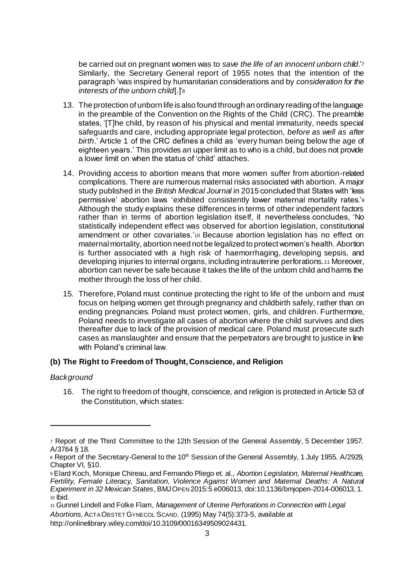be carried out on pregnant women was to *save the life of an innocent unborn child*.'<sup>7</sup> Similarly, the Secretary General report of 1955 notes that the intention of the paragraph 'was inspired by humanitarian considerations and by *consideration for the interests of the unborn child*[.]'<sup>8</sup>

- 13. The protection of unborn life is also found through an ordinary reading of the language in the preamble of the Convention on the Rights of the Child (CRC). The preamble states, 'ITIhe child, by reason of his physical and mental immaturity, needs special safeguards and care, including appropriate legal protection, *before as well as after birth*.' Article 1 of the CRC defines a child as 'every human being below the age of eighteen years.' This provides an upper limit as to who is a child, but does not provide a lower limit on when the status of 'child' attaches.
- 14. Providing access to abortion means that more women suffer from abortion-related complications. There are numerous maternal risks associated with abortion. A major study published in the *British Medical Journal* in 2015 concluded that States with 'less permissive' abortion laws 'exhibited consistently lower maternal mortality rates.'<sup>9</sup> Although the study explains these differences in terms of other independent factors rather than in terms of abortion legislation itself, it nevertheless concludes, 'No statistically independent effect was observed for abortion legislation, constitutional amendment or other covariates.'<sup>10</sup> Because abortion legislation has no effect on maternal mortality, abortion need not be legalized to protect women's health. Abortion is further associated with a high risk of haemorrhaging, developing sepsis, and developing injuries to internal organs, including intrauterine perforations.<sup>11</sup> Moreover, abortion can never be safe because it takes the life of the unborn child and harms the mother through the loss of her child.
- 15. Therefore, Poland must continue protecting the right to life of the unborn and must focus on helping women get through pregnancy and childbirth safely, rather than on ending pregnancies. Poland must protect women, girls, and children. Furthermore, Poland needs to investigate all cases of abortion where the child survives and dies thereafter due to lack of the provision of medical care. Poland must prosecute such cases as manslaughter and ensure that the perpetrators are brought to justice in line with Poland's criminal law.

# **(b) The Right to Freedom of Thought, Conscience, and Religion**

#### *Background*

l

16. The right to freedom of thought, conscience, and religion is protected in Article 53 of the Constitution, which states:

<sup>7</sup> Report of the Third Committee to the 12th Session of the General Assembly, 5 December 1957. A/3764 § 18.

<sup>8</sup> Report of the Secretary-General to the 10<sup>th</sup> Session of the General Assembly, 1 July 1955. A/2929, Chapter VI, §10.

<sup>9</sup> Elard Koch, Monique Chireau, and Fernando Pliego et. al., *Abortion Legislation, Maternal Healthcare, Fertility, Female Literacy, Sanitation, Violence Against Women and Maternal Deaths: A Natural Experiment in 32 Mexican States*, BMJOPEN 2015:5 e006013, doi:10.1136/bmjopen-2014-006013, 1. <sup>10</sup> Ibid.

<sup>11</sup> Gunnel Lindell and Folke Flam, *Management of Uterine Perforations in Connection with Legal* 

*Abortions,*ACTA OBSTET GYNECOL SCAND. (1995) May 74(5):373-5, available at http://onlinelibrary.wiley.com/doi/10.3109/00016349509024431.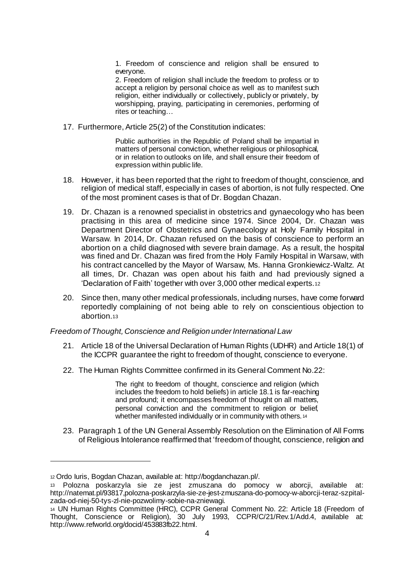1. Freedom of conscience and religion shall be ensured to everyone.

2. Freedom of religion shall include the freedom to profess or to accept a religion by personal choice as well as to manifest such religion, either individually or collectively, publicly or privately, by worshipping, praying, participating in ceremonies, performing of rites or teaching…

17. Furthermore, Article 25(2) of the Constitution indicates:

Public authorities in the Republic of Poland shall be impartial in matters of personal conviction, whether religious or philosophical, or in relation to outlooks on life, and shall ensure their freedom of expression within public life.

- 18. However, it has been reported that the right to freedom of thought, conscience, and religion of medical staff, especially in cases of abortion, is not fully respected. One of the most prominent cases is that of Dr. Bogdan Chazan.
- 19. Dr. Chazan is a renowned specialist in obstetrics and gynaecology who has been practising in this area of medicine since 1974. Since 2004, Dr. Chazan was Department Director of Obstetrics and Gynaecology at Holy Family Hospital in Warsaw. In 2014, Dr. Chazan refused on the basis of conscience to perform an abortion on a child diagnosed with severe brain damage. As a result, the hospital was fined and Dr. Chazan was fired from the Holy Family Hospital in Warsaw, with his contract cancelled by the Mayor of Warsaw, Ms. Hanna Gronkiewicz-Waltz. At all times, Dr. Chazan was open about his faith and had previously signed a 'Declaration of Faith' together with over 3,000 other medical experts.<sup>12</sup>
- 20. Since then, many other medical professionals, including nurses, have come forward reportedly complaining of not being able to rely on conscientious objection to abortion.<sup>13</sup>

#### *Freedom of Thought, Conscience and Religion under International Law*

- 21. Article 18 of the Universal Declaration of Human Rights (UDHR) and Article 18(1) of the ICCPR guarantee the right to freedom of thought, conscience to everyone.
- 22. The Human Rights Committee confirmed in its General Comment No.22:

The right to freedom of thought, conscience and religion (which includes the freedom to hold beliefs) in article 18.1 is far-reaching and profound; it encompasses freedom of thought on all matters, personal conviction and the commitment to religion or belief, whether manifested individually or in community with others. 14

23. Paragraph 1 of the UN General Assembly Resolution on the Elimination of All Forms of Religious Intolerance reaffirmed that 'freedom of thought, conscience, religion and

 $\overline{a}$ 

<sup>12</sup> Ordo Iuris, Bogdan Chazan, available at: http://bogdanchazan.pl/.

<sup>13</sup> Polozna poskarzyla sie ze jest zmuszana do pomocy w aborcji, available at: http://natemat.pl/93817,polozna-poskarzyla-sie-ze-jest-zmuszana-do-pomocy-w-aborcji-teraz-szpitalzada-od-niej-50-tys-zl-nie-pozwolimy-sobie-na-zniewagi.

<sup>14</sup> UN Human Rights Committee (HRC), CCPR General Comment No. 22: Article 18 (Freedom of Thought, Conscience or Religion), 30 July 1993, CCPR/C/21/Rev.1/Add.4, available at: http://www.refworld.org/docid/453883fb22.html.